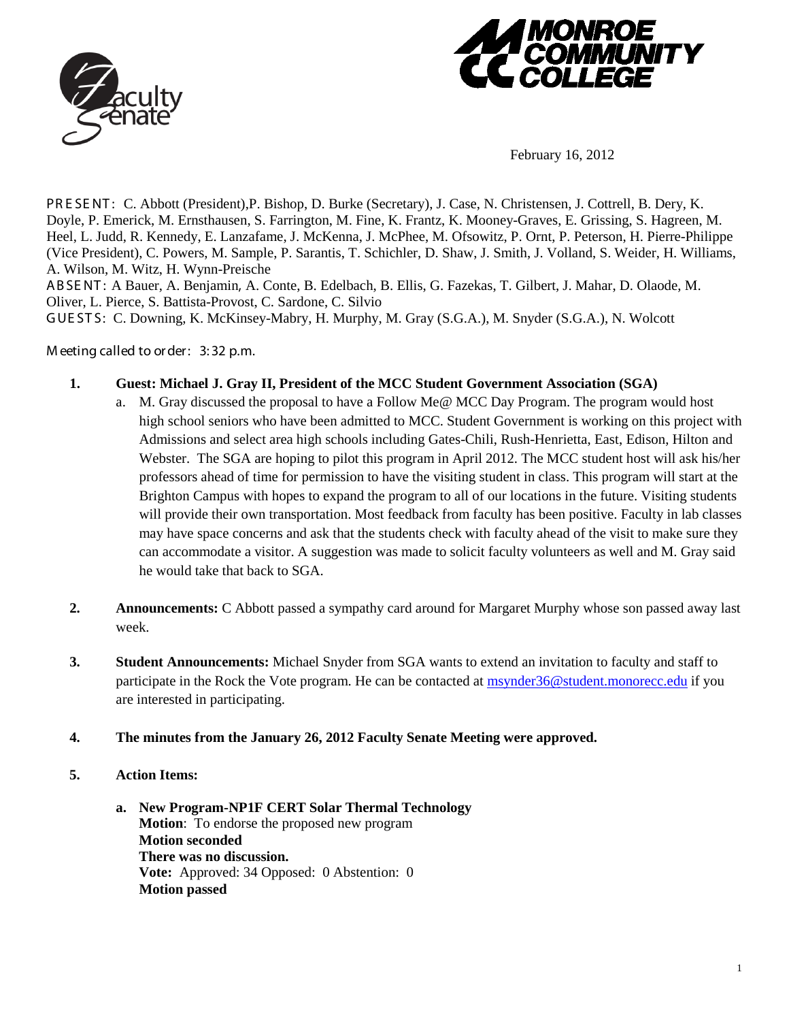



February 16, 2012

PR E SE NT : C. Abbott (President),P. Bishop, D. Burke (Secretary), J. Case, N. Christensen, J. Cottrell, B. Dery, K. Doyle, P. Emerick, M. Ernsthausen, S. Farrington, M. Fine, K. Frantz, K. Mooney-Graves, E. Grissing, S. Hagreen, M. Heel, L. Judd, R. Kennedy, E. Lanzafame, J. McKenna, J. McPhee, M. Ofsowitz, P. Ornt, P. Peterson, H. Pierre-Philippe (Vice President), C. Powers, M. Sample, P. Sarantis, T. Schichler, D. Shaw, J. Smith, J. Volland, S. Weider, H. Williams, A. Wilson, M. Witz, H. Wynn-Preische

ABSE NT : A Bauer, A. Benjamin, A. Conte, B. Edelbach, B. Ellis, G. Fazekas, T. Gilbert, J. Mahar, D. Olaode, M. Oliver, L. Pierce, S. Battista-Provost, C. Sardone, C. Silvio

GUE STS: C. Downing, K. McKinsey-Mabry, H. Murphy, M. Gray (S.G.A.), M. Snyder (S.G.A.), N. Wolcott

M eeting called to order: 3:32 p.m.

- **1. Guest: Michael J. Gray II, President of the MCC Student Government Association (SGA)**
	- a. M. Gray discussed the proposal to have a Follow Me@ MCC Day Program. The program would host high school seniors who have been admitted to MCC. Student Government is working on this project with Admissions and select area high schools including Gates-Chili, Rush-Henrietta, East, Edison, Hilton and Webster. The SGA are hoping to pilot this program in April 2012. The MCC student host will ask his/her professors ahead of time for permission to have the visiting student in class. This program will start at the Brighton Campus with hopes to expand the program to all of our locations in the future. Visiting students will provide their own transportation. Most feedback from faculty has been positive. Faculty in lab classes may have space concerns and ask that the students check with faculty ahead of the visit to make sure they can accommodate a visitor. A suggestion was made to solicit faculty volunteers as well and M. Gray said he would take that back to SGA.
- **2. Announcements:** C Abbott passed a sympathy card around for Margaret Murphy whose son passed away last week.
- **3. Student Announcements:** Michael Snyder from SGA wants to extend an invitation to faculty and staff to participate in the Rock the Vote program. He can be contacted at [msynder36@student.monorecc.edu](mailto:msynder36@student.monorecc.edu) if you are interested in participating.
- **4. The minutes from the January 26, 2012 Faculty Senate Meeting were approved.**
- **5. Action Items:** 
	- **a. New Program-NP1F CERT Solar Thermal Technology Motion**: To endorse the proposed new program **Motion seconded There was no discussion. Vote:** Approved: 34 Opposed: 0 Abstention: 0 **Motion passed**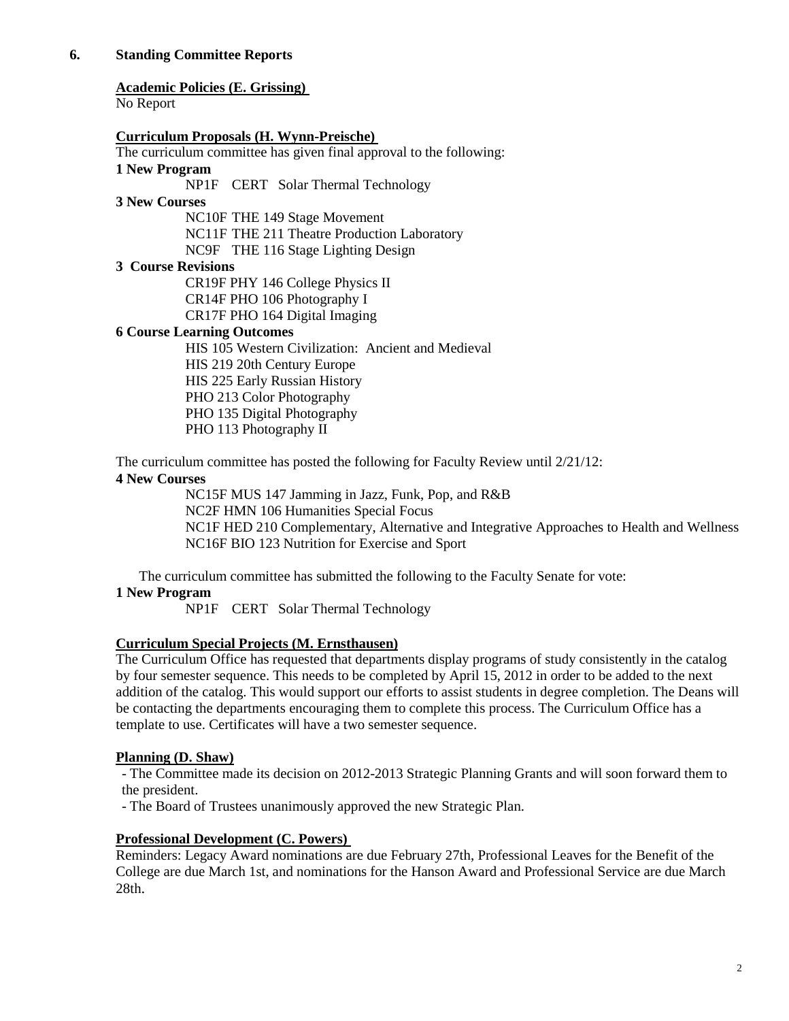# **6. Standing Committee Reports**

## **Academic Policies (E. Grissing)**

No Report

## **Curriculum Proposals (H. Wynn-Preische)**

The curriculum committee has given final approval to the following:

#### **1 New Program**

NP1F CERT Solar Thermal Technology

#### **3 New Courses**

NC10F THE 149 Stage Movement NC11F THE 211 Theatre Production Laboratory NC9F THE 116 Stage Lighting Design

#### **3 Course Revisions**

CR19F PHY 146 College Physics II CR14F PHO 106 Photography I CR17F PHO 164 Digital Imaging

## **6 Course Learning Outcomes**

HIS 105 Western Civilization: Ancient and Medieval HIS 219 20th Century Europe HIS 225 Early Russian History PHO 213 Color Photography PHO 135 Digital Photography PHO 113 Photography II

The curriculum committee has posted the following for Faculty Review until 2/21/12:

## **4 New Courses**

NC15F MUS 147 Jamming in Jazz, Funk, Pop, and R&B NC2F HMN 106 Humanities Special Focus NC1F HED 210 Complementary, Alternative and Integrative Approaches to Health and Wellness NC16F BIO 123 Nutrition for Exercise and Sport

The curriculum committee has submitted the following to the Faculty Senate for vote:

## **1 New Program**

NP1F CERT Solar Thermal Technology

## **Curriculum Special Projects (M. Ernsthausen)**

The Curriculum Office has requested that departments display programs of study consistently in the catalog by four semester sequence. This needs to be completed by April 15, 2012 in order to be added to the next addition of the catalog. This would support our efforts to assist students in degree completion. The Deans will be contacting the departments encouraging them to complete this process. The Curriculum Office has a template to use. Certificates will have a two semester sequence.

## **Planning (D. Shaw)**

- The Committee made its decision on 2012-2013 Strategic Planning Grants and will soon forward them to the president.

- The Board of Trustees unanimously approved the new Strategic Plan.

## **Professional Development (C. Powers)**

Reminders: Legacy Award nominations are due February 27th, Professional Leaves for the Benefit of the College are due March 1st, and nominations for the Hanson Award and Professional Service are due March 28th.